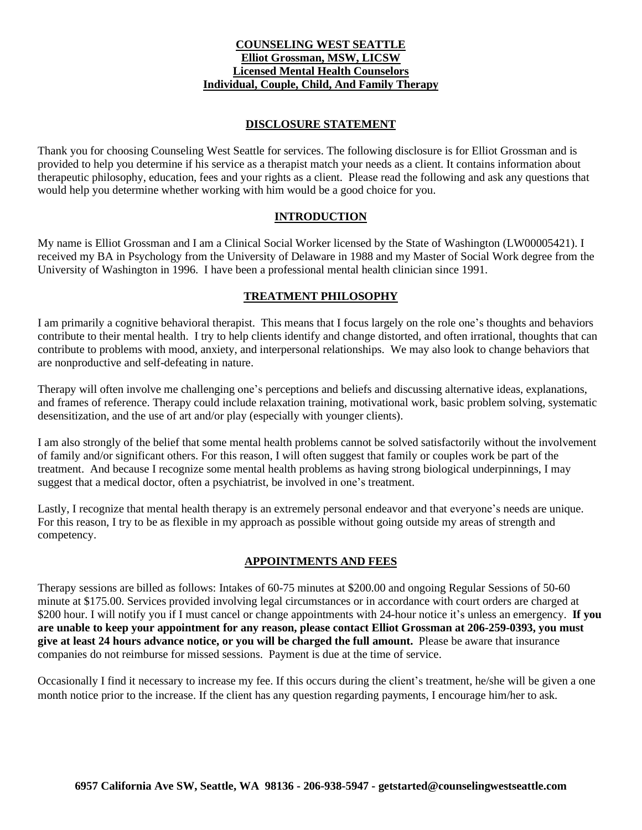## **COUNSELING WEST SEATTLE Elliot Grossman, MSW, LICSW Licensed Mental Health Counselors Individual, Couple, Child, And Family Therapy**

# **DISCLOSURE STATEMENT**

Thank you for choosing Counseling West Seattle for services. The following disclosure is for Elliot Grossman and is provided to help you determine if his service as a therapist match your needs as a client. It contains information about therapeutic philosophy, education, fees and your rights as a client. Please read the following and ask any questions that would help you determine whether working with him would be a good choice for you.

## **INTRODUCTION**

My name is Elliot Grossman and I am a Clinical Social Worker licensed by the State of Washington (LW00005421). I received my BA in Psychology from the University of Delaware in 1988 and my Master of Social Work degree from the University of Washington in 1996. I have been a professional mental health clinician since 1991.

## **TREATMENT PHILOSOPHY**

I am primarily a cognitive behavioral therapist. This means that I focus largely on the role one's thoughts and behaviors contribute to their mental health. I try to help clients identify and change distorted, and often irrational, thoughts that can contribute to problems with mood, anxiety, and interpersonal relationships. We may also look to change behaviors that are nonproductive and self-defeating in nature.

Therapy will often involve me challenging one's perceptions and beliefs and discussing alternative ideas, explanations, and frames of reference. Therapy could include relaxation training, motivational work, basic problem solving, systematic desensitization, and the use of art and/or play (especially with younger clients).

I am also strongly of the belief that some mental health problems cannot be solved satisfactorily without the involvement of family and/or significant others. For this reason, I will often suggest that family or couples work be part of the treatment. And because I recognize some mental health problems as having strong biological underpinnings, I may suggest that a medical doctor, often a psychiatrist, be involved in one's treatment.

Lastly, I recognize that mental health therapy is an extremely personal endeavor and that everyone's needs are unique. For this reason, I try to be as flexible in my approach as possible without going outside my areas of strength and competency.

# **APPOINTMENTS AND FEES**

Therapy sessions are billed as follows: Intakes of 60-75 minutes at \$200.00 and ongoing Regular Sessions of 50-60 minute at \$175.00. Services provided involving legal circumstances or in accordance with court orders are charged at \$200 hour. I will notify you if I must cancel or change appointments with 24-hour notice it's unless an emergency. **If you** are unable to keep your appointment for any reason, please contact Elliot Grossman at 206-259-0393, you must **give at least 24 hours advance notice, or you will be charged the full amount.** Please be aware that insurance companies do not reimburse for missed sessions. Payment is due at the time of service.

Occasionally I find it necessary to increase my fee. If this occurs during the client's treatment, he/she will be given a one month notice prior to the increase. If the client has any question regarding payments, I encourage him/her to ask.